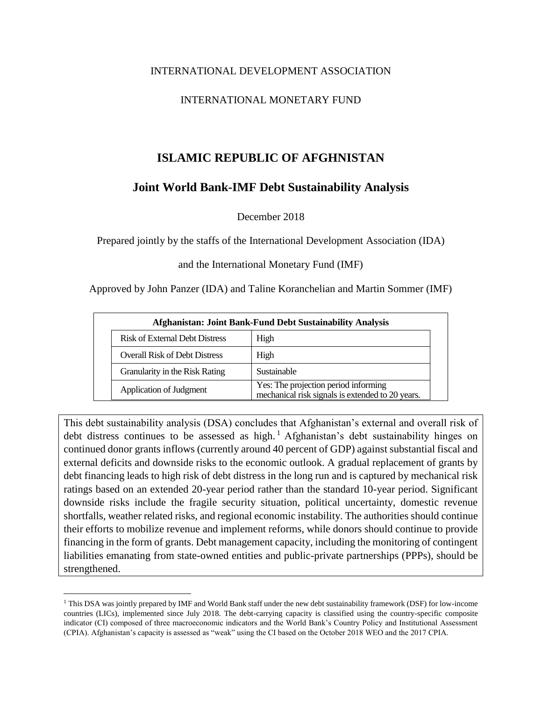# INTERNATIONAL DEVELOPMENT ASSOCIATION

# INTERNATIONAL MONETARY FUND

# **ISLAMIC REPUBLIC OF AFGHNISTAN**

# **Joint World Bank-IMF Debt Sustainability Analysis**

December 2018

Prepared jointly by the staffs of the International Development Association (IDA)

and the International Monetary Fund (IMF)

Approved by John Panzer (IDA) and Taline Koranchelian and Martin Sommer (IMF)

| Afghanistan: Joint Bank-Fund Debt Sustainability Analysis |                                                                                          |  |  |  |  |  |  |  |  |  |
|-----------------------------------------------------------|------------------------------------------------------------------------------------------|--|--|--|--|--|--|--|--|--|
| <b>Risk of External Debt Distress</b>                     | High                                                                                     |  |  |  |  |  |  |  |  |  |
| <b>Overall Risk of Debt Distress</b>                      | High                                                                                     |  |  |  |  |  |  |  |  |  |
| Granularity in the Risk Rating                            | Sustainable                                                                              |  |  |  |  |  |  |  |  |  |
| Application of Judgment                                   | Yes: The projection period informing<br>mechanical risk signals is extended to 20 years. |  |  |  |  |  |  |  |  |  |

This debt sustainability analysis (DSA) concludes that Afghanistan's external and overall risk of debt distress continues to be assessed as high.<sup>1</sup> Afghanistan's debt sustainability hinges on continued donor grants inflows (currently around 40 percent of GDP) against substantial fiscal and external deficits and downside risks to the economic outlook. A gradual replacement of grants by debt financing leads to high risk of debt distress in the long run and is captured by mechanical risk ratings based on an extended 20-year period rather than the standard 10-year period. Significant downside risks include the fragile security situation, political uncertainty, domestic revenue shortfalls, weather related risks, and regional economic instability. The authorities should continue their efforts to mobilize revenue and implement reforms, while donors should continue to provide financing in the form of grants. Debt management capacity, including the monitoring of contingent liabilities emanating from state-owned entities and public-private partnerships (PPPs), should be strengthened.

 $\overline{a}$ 

<sup>&</sup>lt;sup>1</sup> This DSA was jointly prepared by IMF and World Bank staff under the new debt sustainability framework (DSF) for low-income countries (LICs), implemented since July 2018. The debt-carrying capacity is classified using the country-specific composite indicator (CI) composed of three macroeconomic indicators and the World Bank's Country Policy and Institutional Assessment (CPIA). Afghanistan's capacity is assessed as "weak" using the CI based on the October 2018 WEO and the 2017 CPIA.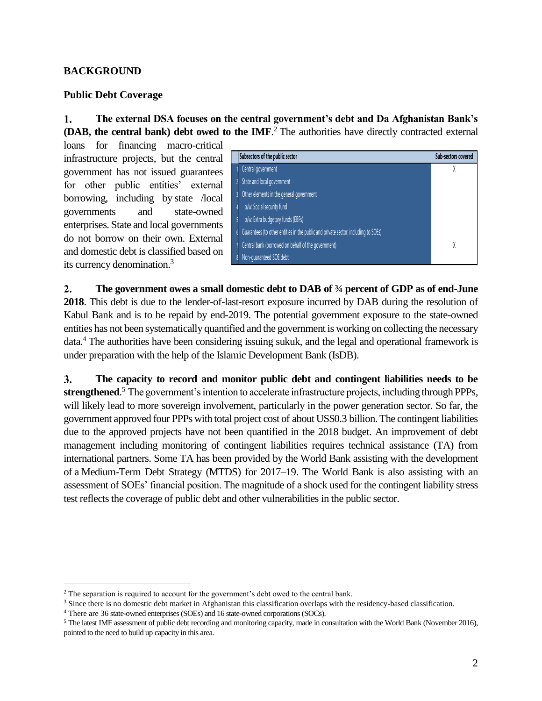# **BACKGROUND**

## **Public Debt Coverage**

1. **The external DSA focuses on the central government's debt and Da Afghanistan Bank's (DAB, the central bank) debt owed to the IMF**. <sup>2</sup> The authorities have directly contracted external

loans for financing macro-critical infrastructure projects, but the central government has not issued guarantees for other public entities' external borrowing, including by state /local governments and state-owned enterprises. State and local governments do not borrow on their own. External and domestic debt is classified based on its currency denomination.<sup>3</sup>

|   | Subsectors of the public sector                                                    | <b>Sub-sectors covered</b> |
|---|------------------------------------------------------------------------------------|----------------------------|
|   | Central government                                                                 |                            |
|   | State and local government                                                         |                            |
|   | Other elements in the general government                                           |                            |
|   | o/w: Social security fund                                                          |                            |
|   | o/w: Extra budgetary funds (EBFs)                                                  |                            |
| 6 | Guarantees (to other entities in the public and private sector, including to SOEs) |                            |
|   | Central bank (borrowed on behalf of the government)                                | X                          |
|   | Non-quaranteed SOE debt                                                            |                            |

 $2.$ **The government owes a small domestic debt to DAB of ¾ percent of GDP as of end-June 2018**. This debt is due to the lender-of-last-resort exposure incurred by DAB during the resolution of Kabul Bank and is to be repaid by end-2019. The potential government exposure to the state-owned entities has not been systematically quantified and the government is working on collecting the necessary data.<sup>4</sup> The authorities have been considering issuing sukuk, and the legal and operational framework is under preparation with the help of the Islamic Development Bank (IsDB).

 $3.$ **The capacity to record and monitor public debt and contingent liabilities needs to be strengthened**. <sup>5</sup> The government's intention to accelerate infrastructure projects, including through PPPs, will likely lead to more sovereign involvement, particularly in the power generation sector. So far, the government approved four PPPs with total project cost of about US\$0.3 billion. The contingent liabilities due to the approved projects have not been quantified in the 2018 budget. An improvement of debt management including monitoring of contingent liabilities requires technical assistance (TA) from international partners. Some TA has been provided by the World Bank assisting with the development of a Medium-Term Debt Strategy (MTDS) for 2017–19. The World Bank is also assisting with an assessment of SOEs' financial position. The magnitude of a shock used for the contingent liability stress test reflects the coverage of public debt and other vulnerabilities in the public sector.

 $\overline{a}$ 

<sup>&</sup>lt;sup>2</sup> The separation is required to account for the government's debt owed to the central bank.

<sup>&</sup>lt;sup>3</sup> Since there is no domestic debt market in Afghanistan this classification overlaps with the residency-based classification.

<sup>4</sup> There are 36 state-owned enterprises (SOEs) and 16 state-owned corporations (SOCs).

<sup>5</sup> The latest IMF assessment of public debt recording and monitoring capacity, made in consultation with the World Bank (November 2016), pointed to the need to build up capacity in this area.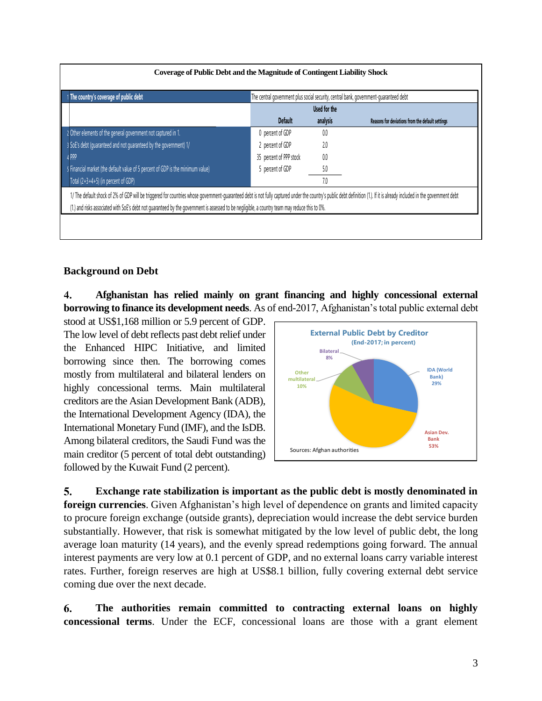| 1 The country's coverage of public debt                                         |                         | Used for the | The central government plus social security, central bank, government-guaranteed debt |
|---------------------------------------------------------------------------------|-------------------------|--------------|---------------------------------------------------------------------------------------|
|                                                                                 | <b>Default</b>          | analysis     | Reasons for deviations from the default settings                                      |
| 2 Other elements of the general government not captured in 1.                   | 0 percent of GDP        | 0.0          |                                                                                       |
| 3 SoE's debt (quaranteed and not quaranteed by the government) 1/               | 2 percent of GDP        | 2.0          |                                                                                       |
| 4 PPP                                                                           | 35 percent of PPP stock | 0.0          |                                                                                       |
| 5 Financial market (the default value of 5 percent of GDP is the minimum value) | 5 percent of GDP        | 5.0          |                                                                                       |
| Total (2+3+4+5) (in percent of GDP)                                             |                         | 7.0          |                                                                                       |

# **Background on Debt**

 $\boldsymbol{4}$ . **Afghanistan has relied mainly on grant financing and highly concessional external borrowing to finance its development needs**. As of end-2017, Afghanistan's total public external debt

stood at US\$1,168 million or 5.9 percent of GDP. The low level of debt reflects past debt relief under the Enhanced HIPC Initiative, and limited borrowing since then. The borrowing comes mostly from multilateral and bilateral lenders on highly concessional terms. Main multilateral creditors are the Asian Development Bank (ADB), the International Development Agency (IDA), the International Monetary Fund (IMF), and the IsDB. Among bilateral creditors, the Saudi Fund was the main creditor (5 percent of total debt outstanding) followed by the Kuwait Fund (2 percent).



5. **Exchange rate stabilization is important as the public debt is mostly denominated in foreign currencies**. Given Afghanistan's high level of dependence on grants and limited capacity to procure foreign exchange (outside grants), depreciation would increase the debt service burden substantially. However, that risk is somewhat mitigated by the low level of public debt, the long average loan maturity (14 years), and the evenly spread redemptions going forward. The annual interest payments are very low at 0.1 percent of GDP, and no external loans carry variable interest rates. Further, foreign reserves are high at US\$8.1 billion, fully covering external debt service coming due over the next decade.

6. **The authorities remain committed to contracting external loans on highly concessional terms**. Under the ECF, concessional loans are those with a grant element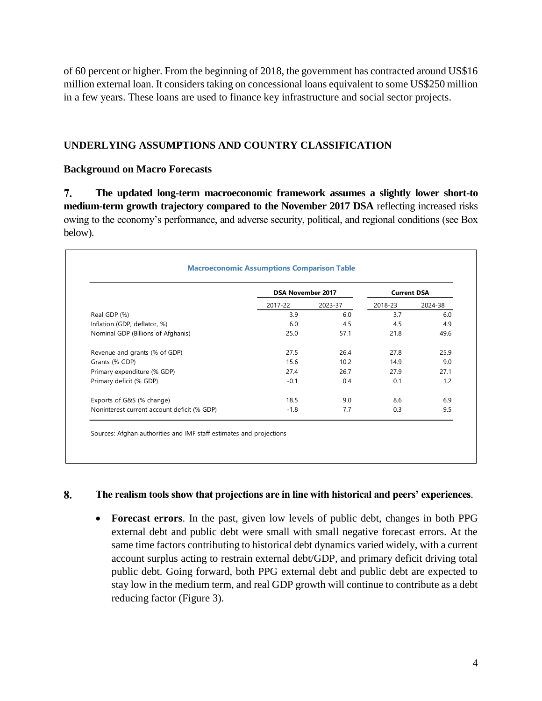of 60 percent or higher. From the beginning of 2018, the government has contracted around US\$16 million external loan. It considers taking on concessional loans equivalent to some US\$250 million in a few years. These loans are used to finance key infrastructure and social sector projects.

# **UNDERLYING ASSUMPTIONS AND COUNTRY CLASSIFICATION**

# **Background on Macro Forecasts**

7. **The updated long-term macroeconomic framework assumes a slightly lower short-to medium-term growth trajectory compared to the November 2017 DSA** reflecting increased risks owing to the economy's performance, and adverse security, political, and regional conditions (see Box below).

|                                             | <b>DSA November 2017</b> |         | <b>Current DSA</b> |         |
|---------------------------------------------|--------------------------|---------|--------------------|---------|
|                                             | 2017-22                  | 2023-37 | 2018-23            | 2024-38 |
| Real GDP (%)                                | 3.9                      | 6.0     | 3.7                | 6.0     |
| Inflation (GDP, deflator, %)                | 6.0                      | 4.5     | 4.5                | 4.9     |
| Nominal GDP (Billions of Afghanis)          | 25.0                     | 57.1    | 21.8               | 49.6    |
| Revenue and grants (% of GDP)               | 27.5                     | 26.4    | 27.8               | 25.9    |
| Grants (% GDP)                              | 15.6                     | 10.2    | 14.9               | 9.0     |
| Primary expenditure (% GDP)                 | 27.4                     | 26.7    | 27.9               | 27.1    |
| Primary deficit (% GDP)                     | $-0.1$                   | 0.4     | 0.1                | 1.2     |
| Exports of G&S (% change)                   | 18.5                     | 9.0     | 8.6                | 6.9     |
| Noninterest current account deficit (% GDP) | $-1.8$                   | 7.7     | 0.3                | 9.5     |

#### 8. **The realism tools show that projections are in line with historical and peers' experiences**.

• **Forecast errors**. In the past, given low levels of public debt, changes in both PPG external debt and public debt were small with small negative forecast errors. At the same time factors contributing to historical debt dynamics varied widely, with a current account surplus acting to restrain external debt/GDP, and primary deficit driving total public debt. Going forward, both PPG external debt and public debt are expected to stay low in the medium term, and real GDP growth will continue to contribute as a debt reducing factor (Figure 3).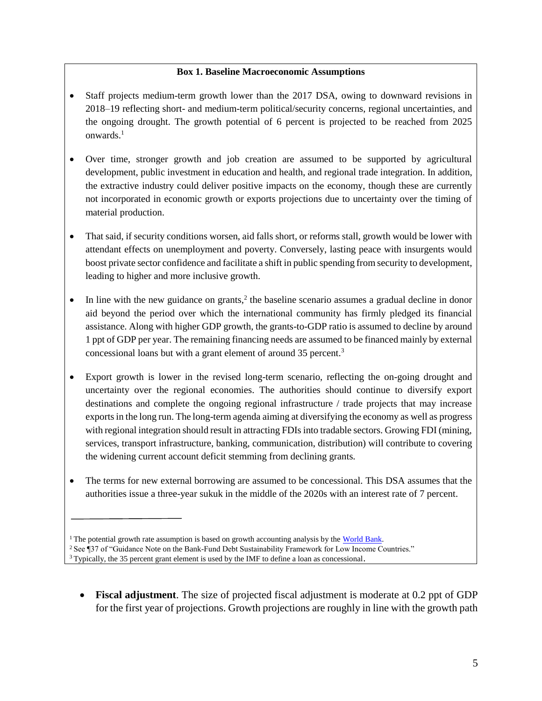## **Box 1. Baseline Macroeconomic Assumptions**

- Staff projects medium-term growth lower than the 2017 DSA, owing to downward revisions in 2018–19 reflecting short- and medium-term political/security concerns, regional uncertainties, and the ongoing drought. The growth potential of 6 percent is projected to be reached from 2025 onwards.<sup>1</sup>
- Over time, stronger growth and job creation are assumed to be supported by agricultural development, public investment in education and health, and regional trade integration. In addition, the extractive industry could deliver positive impacts on the economy, though these are currently not incorporated in economic growth or exports projections due to uncertainty over the timing of material production.
- That said, if security conditions worsen, aid falls short, or reforms stall, growth would be lower with attendant effects on unemployment and poverty. Conversely, lasting peace with insurgents would boost private sector confidence and facilitate a shift in public spending from security to development, leading to higher and more inclusive growth.
- $\bullet$  In line with the new guidance on grants,<sup>2</sup> the baseline scenario assumes a gradual decline in donor aid beyond the period over which the international community has firmly pledged its financial assistance. Along with higher GDP growth, the grants-to-GDP ratio is assumed to decline by around 1 ppt of GDP per year. The remaining financing needs are assumed to be financed mainly by external concessional loans but with a grant element of around 35 percent.<sup>3</sup>
- Export growth is lower in the revised long-term scenario, reflecting the on-going drought and uncertainty over the regional economies. The authorities should continue to diversify export destinations and complete the ongoing regional infrastructure / trade projects that may increase exports in the long run. The long-term agenda aiming at diversifying the economy as well as progress with regional integration should result in attracting FDIs into tradable sectors. Growing FDI (mining, services, transport infrastructure, banking, communication, distribution) will contribute to covering the widening current account deficit stemming from declining grants.
- The terms for new external borrowing are assumed to be concessional. This DSA assumes that the authorities issue a three-year sukuk in the middle of the 2020s with an interest rate of 7 percent.

• **Fiscal adjustment**. The size of projected fiscal adjustment is moderate at 0.2 ppt of GDP for the first year of projections. Growth projections are roughly in line with the growth path

<sup>&</sup>lt;sup>1</sup> The potential growth rate assumption is based on growth accounting analysis by the [World Bank.](http://www.worldbank.org/en/news/feature/2016/10/05/world-bank-agriculture-and-education-can-drive-afghanistans-development)

<sup>&</sup>lt;sup>2</sup> See ¶37 of "Guidance Note on the Bank-Fund Debt Sustainability Framework for Low Income Countries."

 $3$  Typically, the 35 percent grant element is used by the IMF to define a loan as concessional.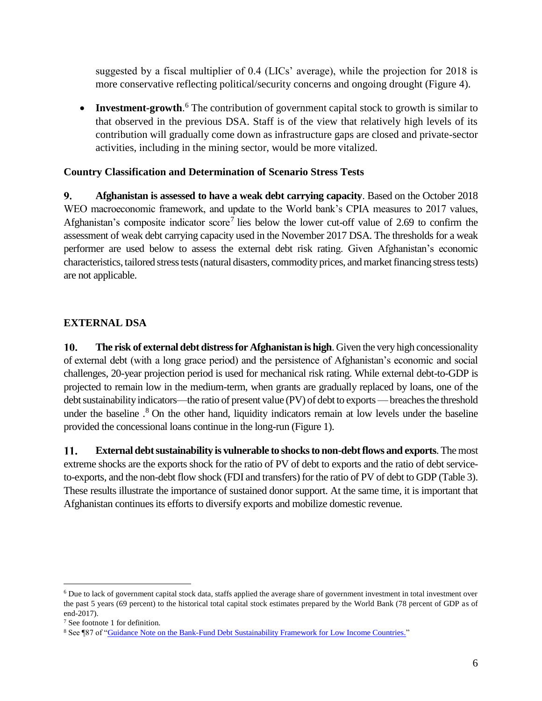suggested by a fiscal multiplier of 0.4 (LICs' average), while the projection for 2018 is more conservative reflecting political/security concerns and ongoing drought (Figure 4).

• **Investment-growth**.<sup>6</sup> The contribution of government capital stock to growth is similar to that observed in the previous DSA. Staff is of the view that relatively high levels of its contribution will gradually come down as infrastructure gaps are closed and private-sector activities, including in the mining sector, would be more vitalized.

# **Country Classification and Determination of Scenario Stress Tests**

 $9<sub>r</sub>$ **Afghanistan is assessed to have a weak debt carrying capacity**. Based on the October 2018 WEO macroeconomic framework, and update to the World bank's CPIA measures to 2017 values, Afghanistan's composite indicator score<sup>7</sup> lies below the lower cut-off value of 2.69 to confirm the assessment of weak debt carrying capacity used in the November 2017 DSA. The thresholds for a weak performer are used below to assess the external debt risk rating. Given Afghanistan's economic characteristics, tailored stress tests (natural disasters, commodity prices, and market financing stress tests) are not applicable.

# **EXTERNAL DSA**

**The risk of external debt distress for Afghanistan is high**. Given the very high concessionality 10. of external debt (with a long grace period) and the persistence of Afghanistan's economic and social challenges, 20-year projection period is used for mechanical risk rating. While external debt-to-GDP is projected to remain low in the medium-term, when grants are gradually replaced by loans, one of the debt sustainability indicators—the ratio of present value (PV) of debt to exports —breaches the threshold under the baseline .<sup>8</sup> On the other hand, liquidity indicators remain at low levels under the baseline provided the concessional loans continue in the long-run (Figure 1).

11. **External debt sustainability is vulnerable to shocks to non-debt flows and exports**. The most extreme shocks are the exports shock for the ratio of PV of debt to exports and the ratio of debt serviceto-exports, and the non-debt flow shock (FDI and transfers) for the ratio of PV of debt to GDP (Table 3). These results illustrate the importance of sustained donor support. At the same time, it is important that Afghanistan continues its efforts to diversify exports and mobilize domestic revenue.

 $\overline{a}$ 

<sup>&</sup>lt;sup>6</sup> Due to lack of government capital stock data, staffs applied the average share of government investment in total investment over the past 5 years (69 percent) to the historical total capital stock estimates prepared by the World Bank (78 percent of GDP as of end-2017).

<sup>7</sup> See footnote 1 for definition.

<sup>8</sup> See ¶87 of ["Guidance Note on the Bank-Fund Debt Sustainability Framework for Low Income Countries.](http://www.google.com/url?sa=t&rct=j&q=&esrc=s&source=web&cd=2&cad=rja&uact=8&ved=2ahUKEwjYyY79pZDdAhUiheAKHXQDAhoQFjABegQICRAC&url=http%3A%2F%2Fwww.imf.org%2F~%2Fmedia%2FFiles%2FPublications%2FPP%2F2017%2Fpp122617guidance-note-on-lic-dsf.ashx&usg=AOvVaw21wv7Zv3vbwRoHgUYtNrFT)"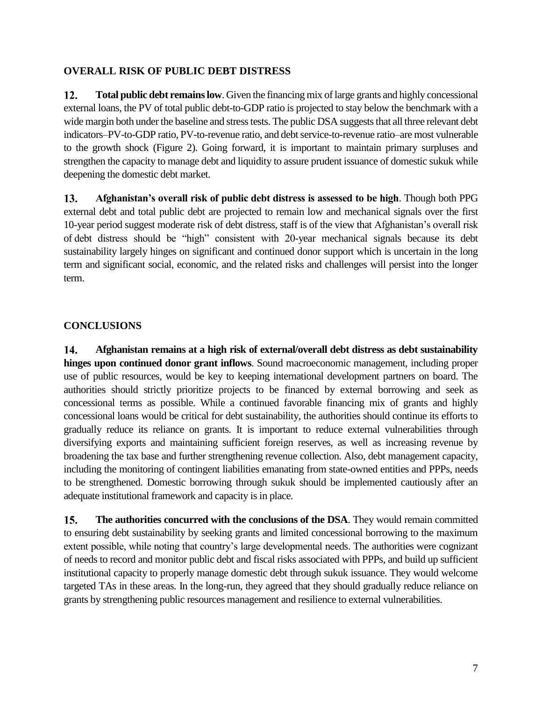# **OVERALL RISK OF PUBLIC DEBT DISTRESS**

 $12.$ **Total public debt remains low**. Given the financing mix of large grants and highly concessional external loans, the PV of total public debt-to-GDP ratio is projected to stay below the benchmark with a wide margin both under the baseline and stress tests. The public DSA suggests that all three relevant debt indicators–PV-to-GDP ratio, PV-to-revenue ratio, and debt service-to-revenue ratio–are most vulnerable to the growth shock (Figure 2). Going forward, it is important to maintain primary surpluses and strengthen the capacity to manage debt and liquidity to assure prudent issuance of domestic sukuk while deepening the domestic debt market.

 $13.$ **Afghanistan's overall risk of public debt distress is assessed to be high**. Though both PPG external debt and total public debt are projected to remain low and mechanical signals over the first 10-year period suggest moderate risk of debt distress, staff is of the view that Afghanistan's overall risk of debt distress should be "high" consistent with 20-year mechanical signals because its debt sustainability largely hinges on significant and continued donor support which is uncertain in the long term and significant social, economic, and the related risks and challenges will persist into the longer term.

# **CONCLUSIONS**

14. **Afghanistan remains at a high risk of external/overall debt distress as debt sustainability hinges upon continued donor grant inflows**. Sound macroeconomic management, including proper use of public resources, would be key to keeping international development partners on board. The authorities should strictly prioritize projects to be financed by external borrowing and seek as concessional terms as possible. While a continued favorable financing mix of grants and highly concessional loans would be critical for debt sustainability, the authorities should continue its efforts to gradually reduce its reliance on grants. It is important to reduce external vulnerabilities through diversifying exports and maintaining sufficient foreign reserves, as well as increasing revenue by broadening the tax base and further strengthening revenue collection. Also, debt management capacity, including the monitoring of contingent liabilities emanating from state-owned entities and PPPs, needs to be strengthened. Domestic borrowing through sukuk should be implemented cautiously after an adequate institutional framework and capacity is in place.

**The authorities concurred with the conclusions of the DSA**. They would remain committed  $15.$ to ensuring debt sustainability by seeking grants and limited concessional borrowing to the maximum extent possible, while noting that country's large developmental needs. The authorities were cognizant of needs to record and monitor public debt and fiscal risks associated with PPPs, and build up sufficient institutional capacity to properly manage domestic debt through sukuk issuance. They would welcome targeted TAs in these areas. In the long-run, they agreed that they should gradually reduce reliance on grants by strengthening public resources management and resilience to external vulnerabilities.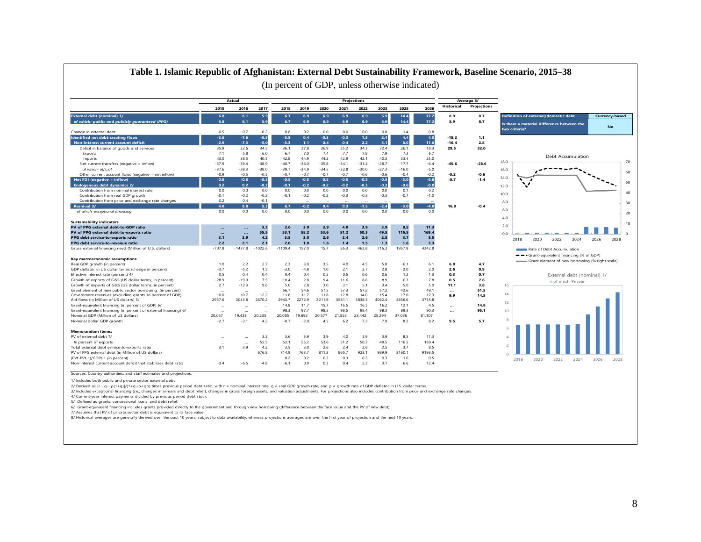

# **Table 1. Islamic Republic of Afghanistan: External Debt Sustainability Framework, Baseline Scenario, 2015–38**

1/ Includes both public and private sector external debt.

2/ Derived as [r - g - ρ(1+g)]/(1+g+ρ+gp) times previous period debt ratio, with r = nominal interest rate; g = real GDP growth rate, and ρ = growth rate of GDP deflator in U.S. dollar terms.

3/ Includes exceptional financing (i.e., changes in arrears and debt relief); changes in gross foreign assets; and valuation adjustments. For projections also includes contribution from price and exchange rate changes.

4/ Current-year interest payments divided by previous period debt stock.

5/ Defined as grants, concessional loans, and debt relief.

6/ Grant-equivalent financing includes grants provided directly to the government and through new borrowing (difference between the face value and the PV of new debt).

7/ Assumes that PV of private sector debt is equivalent to its face value.

8/ Historical averages are generally derived over the past 10 years, subject to data availability, whereas projections averages are over the first year of projection and the next 10 years.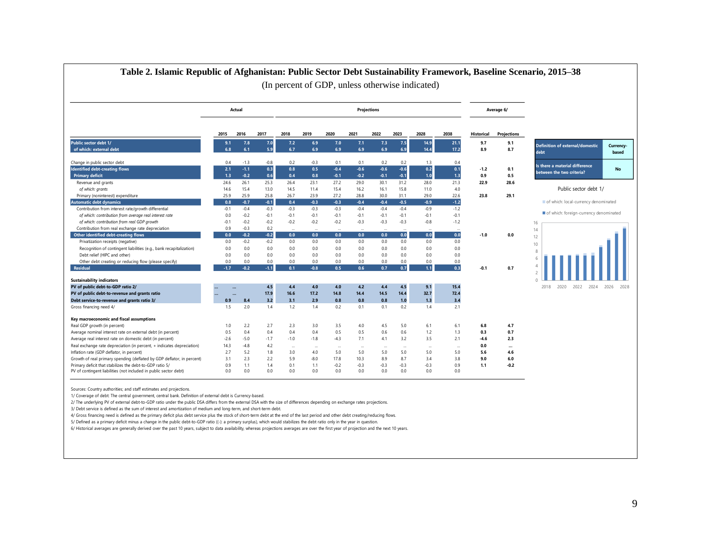| Table 2. Islamic Republic of Afghanistan: Public Sector Debt Sustainability Framework, Baseline Scenario, 2015-38                                                                                       |                         |                            |                            |                            |                            |                            |                            |                            |                            | (In percent of GDP, unless otherwise indicated) |                            |                   |                |                                                               |                    |
|---------------------------------------------------------------------------------------------------------------------------------------------------------------------------------------------------------|-------------------------|----------------------------|----------------------------|----------------------------|----------------------------|----------------------------|----------------------------|----------------------------|----------------------------|-------------------------------------------------|----------------------------|-------------------|----------------|---------------------------------------------------------------|--------------------|
|                                                                                                                                                                                                         |                         | Actual                     |                            |                            |                            |                            |                            | Projections                |                            |                                                 |                            |                   | Average 6/     |                                                               |                    |
|                                                                                                                                                                                                         | 2015                    | 2016                       | 2017                       | 2018                       | 2019                       | 2020                       | 2021                       | 2022                       | 2023                       | 2028                                            | 2038                       | <b>Historical</b> | Projections    |                                                               |                    |
| Public sector debt 1/<br>of which: external debt                                                                                                                                                        | 9.1<br>6.8              | 7.8<br>6.1                 | 7.0<br>5.9                 | 7.2<br>6.7                 | 6.9<br>6.9                 | 7.0<br>6.9                 | 7.1<br>6.9                 | 7.3<br>6.9                 | 7.5<br>6.9                 | 14.9<br>14.4                                    | 21.1<br>17.2               | 9.7<br>8.9        | 9.1<br>8.7     | <b>Definition of external/domestic</b><br>debt                | Currency-<br>based |
| Change in public sector debt<br><b>Identified debt-creating flows</b>                                                                                                                                   | 0.4<br>2.1              | $-1.3$<br>$-1.1$           | $-0.8$<br>0.3              | 0.2<br>0.8                 | $-0.3$<br>0.5              | 0.1<br>$-0.4$              | 0.1<br>$-0.6$              | 0.2<br>$-0.6$              | 0.2<br>$-0.6$              | 1.3<br>0.2                                      | 0.4<br>0.1                 | $-1.2$            | 0.1            | Is there a material difference<br>between the two criteria?   | No                 |
| <b>Primary deficit</b><br>Revenue and grants                                                                                                                                                            | 1.3<br>24.6             | $-0.2$<br>26.1             | 0.6<br>25.3                | 0.4<br>26.4                | 0.8<br>23.1                | $-0.1$<br>27.2             | $-0.2$<br>29.0             | $-0.1$<br>30.1             | $-0.1$<br>31.2             | 1.0<br>28.0                                     | 1.3<br>21.3                | 0.9<br>22.9       | 0.5<br>28.6    |                                                               |                    |
| of which: grants<br>Primary (noninterest) expenditure<br><b>Automatic debt dynamics</b>                                                                                                                 | 14.6<br>25.9<br>0.8     | 15.4<br>25.9<br>$-0.7$     | 13.0<br>25.8<br>$-0.1$     | 14.5<br>26.7<br>0.4        | 11.4<br>23.9<br>$-0.3$     | 15.4<br>27.2<br>$-0.3$     | 16.2<br>28.8<br>$-0.4$     | 16.1<br>30.0<br>$-0.4$     | 15.8<br>31.1<br>$-0.5$     | 11.0<br>29.0<br>$-0.9$                          | 4.0<br>22.6<br>$-1.2$      | 23.8              | 29.1           | Public sector debt 1/<br>of which: local-currency denominated |                    |
| Contribution from interest rate/growth differential<br>of which: contribution from average real interest rate<br>of which: contribution from real GDP growth                                            | $-0.1$<br>0.0<br>$-0.1$ | $-0.4$<br>$-0.2$<br>$-0.2$ | $-0.3$<br>$-0.1$<br>$-0.2$ | $-0.3$<br>$-0.1$<br>$-0.2$ | $-0.3$<br>$-0.1$<br>$-0.2$ | $-0.3$<br>$-0.1$<br>$-0.2$ | $-0.4$<br>$-0.1$<br>$-0.3$ | $-0.4$<br>$-0.1$<br>$-0.3$ | $-0.4$<br>$-0.1$<br>$-0.3$ | $-0.9$<br>$-0.1$<br>$-0.8$                      | $-1.2$<br>$-0.1$<br>$-1.2$ |                   |                | of which: foreign-currency denominated<br>16                  |                    |
| Contribution from real exchange rate depreciation<br>Other identified debt-creating flows                                                                                                               | 0.9<br>0.0              | $-0.3$<br>$-0.2$           | 0.2<br>$-0.2$              | 0.0                        | $\ddotsc$<br>0.0           | $\ddotsc$<br>0.0           | $\ddotsc$<br>0.0           | $\cdots$<br>0.0            | 0.0                        | 0.0                                             | $\ddotsc$<br>0.0           | $-1.0$            | 0.0            | 14<br>12                                                      |                    |
| Privatization receipts (negative)<br>Recognition of contingent liabilities (e.g., bank recapitalization)<br>Debt relief (HIPC and other)                                                                | 0.0<br>0.0<br>0.0       | $-0.2$<br>0.0<br>0.0       | $-0.2$<br>0.0<br>0.0       | 0.0<br>0.0<br>0.0          | 0.0<br>0.0<br>0.0          | 0.0<br>0.0<br>0.0          | 0.0<br>0.0<br>0.0          | 0.0<br>0.0<br>0.0          | 0.0<br>0.0<br>0.0          | 0.0<br>0.0<br>0.0                               | 0.0<br>0.0<br>0.0          |                   |                | 10<br>8                                                       |                    |
| Other debt creating or reducing flow (please specify)<br><b>Residual</b>                                                                                                                                | 0.0<br>$-1.7$           | 0.0<br>$-0.2$              | 0.0<br>$-1.1$              | 0.0<br>0.1                 | 0.0<br>$-0.8$              | 0.0<br>0.5                 | 0.0<br>0.6                 | 0.0<br>0.7                 | 0.0<br>0.7                 | 0.0<br>1.1                                      | 0.0<br>0.3                 | $-0.1$            | 0.7            |                                                               |                    |
| <b>Sustainability indicators</b><br>PV of public debt-to-GDP ratio 2/                                                                                                                                   |                         | $\ddotsc$                  | 4.5                        | 4.4                        | 4.0                        | 4.0                        | 4.2                        | 4.4                        | 4.5                        | 9.1                                             | 15.4                       |                   |                | 2018<br>2020<br>2022<br>2024                                  | 2026<br>2028       |
| PV of public debt-to-revenue and grants ratio<br>Debt service-to-revenue and grants ratio 3/                                                                                                            | 0.9                     | 8.4                        | 17.9<br>3.2                | 16.6<br>3.1                | 17.2<br>2.9                | 14.8<br>0.8                | 14.4<br>0.8                | 14.5<br>0.8                | 14.4<br>1.0                | 32.7<br>1.3                                     | 72.4<br>3.4                |                   |                |                                                               |                    |
| Gross financing need 4/                                                                                                                                                                                 | 1.5                     | 2.0                        | 1.4                        | 1.2                        | 1.4                        | 0.2                        | 0.1                        | 0.1                        | 0.2                        | 1.4                                             | 2.1                        |                   |                |                                                               |                    |
| Key macroeconomic and fiscal assumptions<br>Real GDP growth (in percent)                                                                                                                                | 1.0                     | 2.2                        | 2.7                        | 2.3                        | 3.0                        | 3.5                        | 4.0                        | 4.5                        | 5.0                        | 6.1                                             | 6.1                        | 6.8               | 4.7            |                                                               |                    |
| Average nominal interest rate on external debt (in percent)<br>Average real interest rate on domestic debt (in percent)                                                                                 | 0.5<br>$-2.6$           | 0.4<br>$-5.0$              | 0.4<br>$-1.7$              | 0.4<br>$-1.0$              | 0.4<br>$-1.8$              | 0.5<br>$-4.3$              | 0.5<br>7.1                 | 0.6<br>4.1                 | 0.6<br>3.2                 | 1.2<br>3.5                                      | 1.3<br>2.1                 | 0.3<br>-4.6       | 0.7<br>2.3     |                                                               |                    |
| Real exchange rate depreciation (in percent, + indicates depreciation)<br>Inflation rate (GDP deflator, in percent)                                                                                     | 14.3<br>2.7<br>3.1      | $-4.8$<br>5.2<br>2.3       | 4.2<br>1.8<br>2.2          | $\cdots$<br>3.0<br>5.9     | $\cdots$<br>4.0<br>$-8.0$  | $\cdots$<br>5.0<br>17.8    | $\cdots$<br>5.0<br>10.3    | $\cdots$<br>5.0<br>8.9     | $\cdots$<br>5.0<br>8.7     | $\overline{\phantom{a}}$<br>5.0<br>3.4          | $\cdots$<br>5.0<br>3.8     | 0.0<br>5.6<br>9.0 | <br>4.6<br>6.0 |                                                               |                    |
| Growth of real primary spending (deflated by GDP deflator, in percent)<br>Primary deficit that stabilizes the debt-to-GDP ratio 5/<br>PV of contingent liabilities (not included in public sector debt) | 0.9<br>0.0              | 1.1<br>0.0                 | 1.4<br>0.0                 | 0.1<br>0.0                 | 1.1<br>0.0                 | $-0.2$<br>0.0              | $-0.3$<br>0.0              | $-0.3$<br>0.0              | $-0.3$<br>0.0              | $-0.3$<br>0.0                                   | 0.9<br>0.0                 | 1.1               | $-0.2$         |                                                               |                    |

Sources: Country authorities; and staff estimates and projections.

1/ Coverage of debt: The central government, central bank. Definition of external debt is Currency-based.

2/ The underlying PV of external debt-to-GDP ratio under the public DSA differs from the external DSA with the size of differences depending on exchange rates projections.

3/ Debt service is defined as the sum of interest and amortization of medium and long-term, and short-term debt.

4/ Gross financing need is defined as the primary deficit plus debt service plus the stock of short-term debt at the end of the last period and other debt creating/reducing flows.

5/ Defined as a primary deficit minus a change in the public debt-to-GDP ratio ((-): a primary surplus), which would stabilizes the debt ratio only in the year in question.

6/ Historical averages are generally derived over the past 10 years, subject to data availability, whereas projections averages are over the first year of projection and the next 10 years.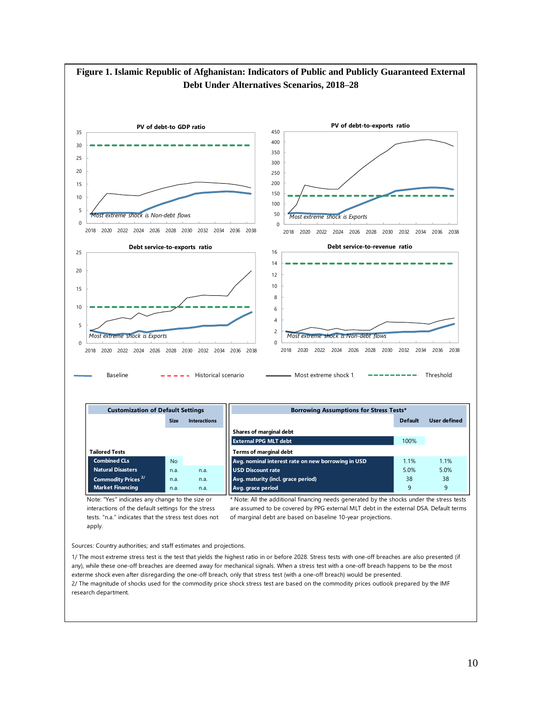

Sources: Country authorities; and staff estimates and projections.

1/ The most extreme stress test is the test that yields the highest ratio in or before 2028. Stress tests with one-off breaches are also presented (if any), while these one-off breaches are deemed away for mechanical signals. When a stress test with a one-off breach happens to be the most exterme shock even after disregarding the one-off breach, only that stress test (with a one-off breach) would be presented. 2/ The magnitude of shocks used for the commodity price shock stress test are based on the commodity prices outlook prepared by the IMF research department.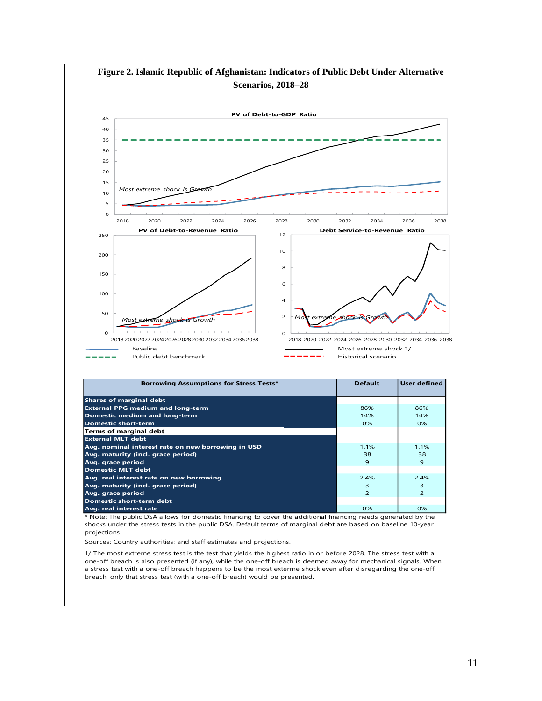

Sources: Country authorities; and staff estimates and projections.

1/ The most extreme stress test is the test that yields the highest ratio in or before 2028. The stress test with a one-off breach is also presented (if any), while the one-off breach is deemed away for mechanical signals. When a stress test with a one-off breach happens to be the most exterme shock even after disregarding the one-off breach, only that stress test (with a one-off breach) would be presented.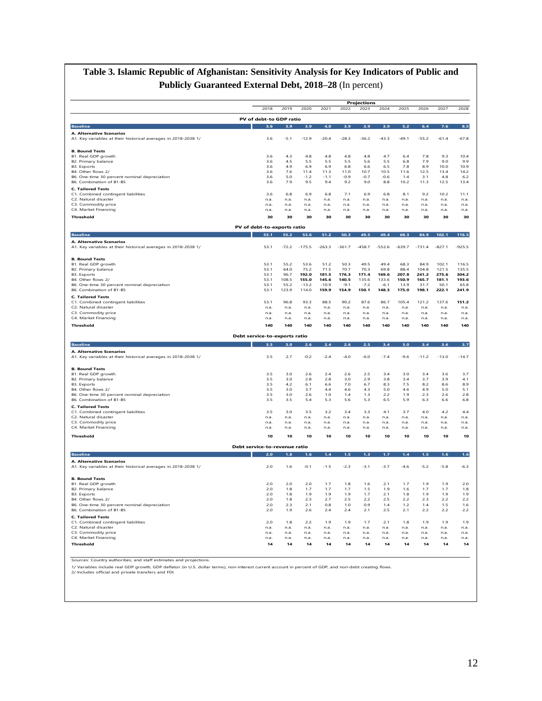# **Table 3. Islamic Republic of Afghanistan: Sensitivity Analysis for Key Indicators of Public and Publicly Guaranteed External Debt, 2018–28** (In percent)

|                                                                                                   |                               |              |               |               |               | <b>Projections</b>    |               |               |                |                |                |
|---------------------------------------------------------------------------------------------------|-------------------------------|--------------|---------------|---------------|---------------|-----------------------|---------------|---------------|----------------|----------------|----------------|
|                                                                                                   | 2018                          | 2019         | 2020          | 2021          | 2022          | 2023                  | 2024          | 2025          | 2026           | 2027           | 2028           |
|                                                                                                   | PV of debt-to GDP ratio       |              |               |               |               |                       |               |               |                |                |                |
| <b>Baseline</b>                                                                                   | 3.6                           | 3.9          | 3.9           | 4.0           | 3.9           | 3.9                   | 3.9           | 5.2           | 6.4            | 7.6            | 8.5            |
| A. Alternative Scenarios                                                                          |                               |              |               |               |               |                       |               |               |                |                |                |
| A1. Key variables at their historical averages in 2018-2038 1/                                    | 3.6                           | $-5.1$       | $-12.9$       | $-20.4$       | $-28.3$       | $-36.2$               | $-43.3$       | $-49.1$       | $-55.2$        | $-61.4$        | $-67.8$        |
| <b>B. Bound Tests</b>                                                                             |                               |              |               |               |               |                       |               |               |                |                |                |
| B1. Real GDP growth                                                                               | 3.6                           | 4.3          | 4.8           | 4.8           | 4.8           | 4.8                   | 4.7           | 6.4           | 7.8            | 9.3            | 10.4           |
| B2. Primary balance                                                                               | 3.6<br>3.6                    | 4.5<br>4.9   | 5.5<br>6.9    | 5.5<br>6.9    | 5.5<br>6.8    | 5.6<br>6.6            | 5.5<br>6.5    | 6.8<br>7.8    | 7.9<br>8.9     | 9.0<br>10.0    | 9.9<br>10.9    |
| B3. Exports<br>B4. Other flows 2/                                                                 | 3.6                           | 7.6          | 11.4          | 11.3          | 11.0          | 10.7                  | 10.5          | 11.6          | 12.5           | 13.4           | 14.2           |
| B6. One-time 30 percent nominal depreciation                                                      | 3.6                           | 5.0          | $-1.2$        | $-1.1$        | $-0.9$        | $-0.7$                | $-0.6$        | 1.4           | 3.1            | 4.8            | 6.2            |
| B6. Combination of B1-B5                                                                          | 3.6                           | 7.9          | 9.5           | 9.4           | 9.2           | 9.0                   | $_{\rm 8.8}$  | 10.2          | 11.3           | 12.5           | 13.4           |
| <b>C. Tailored Tests</b><br>C1. Combined contingent liabilities                                   | 3.6                           | 6.8          | 6.9           | 6.8           | 71            | 6.9                   | 6.8           | 81            | 9.2            | 102            | 111            |
| C2. Natural disaster                                                                              | n.a.                          | n.a.         | n.a.          | n.a.          | n.a.          | n.a.                  | n.a.          | n.a.          | n.a.           | n.a.           | n.a.           |
| C3. Commodity price                                                                               | n.a.                          | n.a.         | n.a.          | n.a.          | n.a.          | n.a.                  | n.a.          | n.a.          | n.a.           | n.a.           | n.a.           |
| C4. Market Financing                                                                              | n.a.                          | n.a.         | n.a.          | n.a.          | n.a.          | n.a.                  | n.a.          | n.a.          | n.a.           | n.a            | n.a            |
| Threshold                                                                                         | 30                            | 30           | 30            | 30            | 30            | 30                    | 30            | 30            | 30             | 30             | 30             |
|                                                                                                   | PV of debt-to-exports ratio   |              |               |               |               |                       |               |               |                |                |                |
| <b>Baseline</b>                                                                                   |                               | 55.2         | 53.6          | 51.2          | 50.3          | 49.5                  | 49.4          | 68.3          | 84.9           | 102.1          | 116.5          |
| <b>A. Alternative Scenarios</b><br>A1. Key variables at their historical averages in 2018-2038 1/ | 53.1                          | $-72.2$      | $-175.5$      | $-263.3$      | $-361.7$      | $-458.7$              | $-552.6$      | $-639.7$      | $-731.4$       | $-827.1$       | $-925.5$       |
|                                                                                                   |                               |              |               |               |               |                       |               |               |                |                |                |
| <b>B. Bound Tests</b>                                                                             |                               |              |               |               |               |                       |               |               |                |                |                |
| B1. Real GDP growth                                                                               | 53.1                          | 55.2         | 53.6          | 51.2          | 50.3          | 49.5                  | 49.4          | 68.3          | 84.9           | 102.1          | 116.5          |
| B2. Primary balance<br><b>B3.</b> Exports                                                         | 53.1<br>53.1                  | 64.0<br>96.7 | 75.2<br>192.0 | 71.5<br>181.5 | 70.7<br>176.3 | 70.3<br>171.4         | 69.8<br>169.6 | 88.4<br>207.8 | 104.8<br>241.2 | 121.5<br>275.6 | 135.5<br>304.2 |
| B4. Other flows 2/                                                                                | 53.1                          | 108.5        | 155.0         | 145.6         | 140.5         | 135.6                 | 133.6         | 150.9         | 165.7          | 181.1          | 193.6          |
| B6. One-time 30 percent nominal depreciation                                                      | 53.1                          | 552          | $-132$        | $-109$        | $-91$         | $-72$                 | $-61$         | 139           | 31.7           | 50.1           | 65.8           |
| B6. Combination of B1-B5                                                                          | 53.1                          | 123.9        | 114.0         | 159.9         | 154.9         | 150.1                 | 148.3         | 175.0         | 198.1          | 222.1          | 241.9          |
| <b>C. Tailored Tests</b><br>C1. Combined contingent liabilities                                   | 53.1                          | 96.8         | 93.3          | 88.5          | 90.2          | 87.6                  | 86.7          | 105.4         | 121.2          | 137.6          | 151.2          |
| C2. Natural disaster                                                                              | n.a.                          | n.a.         | n.a.          | n.a.          | n.a.          | n.a.                  | n.a.          | n.a.          | n.a.           | n.a.           | n.a.           |
| C3. Commodity price<br>C4. Market Financing                                                       | n.a.<br>n.a.                  | n.a.<br>n.a. | n.a.<br>n.a.  | n.a.<br>n.a.  | n.a.<br>n.a.  | n.a.<br>n.a.          | n.a.<br>n.a.  | n.a.<br>n.a.  | n.a.<br>n.a.   | n.a.           | n.a.<br>n.a.   |
| Threshold                                                                                         | 140                           | 140          | 140           | 140           | 140           | 140                   | 140           | 140           | 140            | n.a.<br>140    | 140            |
|                                                                                                   |                               |              |               |               |               |                       |               |               |                |                |                |
|                                                                                                   | Debt service-to-exports ratio |              |               |               |               |                       |               |               |                |                |                |
| <b>Baseline</b>                                                                                   | 3.5                           | 3.0          | 2.6           | 2.4           | 2.6           | 2.5                   | 3.4           | 3.0           | 3.4            | 3.6            | 3.7            |
| <b>A. Alternative Scenarios</b><br>A1. Key variables at their historical averages in 2018-2038 1/ | 3.5                           | 2.7          | $-0.2$        | $-2.4$        | $-4.0$        | $-6.0$                | $-7.4$        | $-9.6$        | $-11.2$        | $-13.0$        | $-14.7$        |
|                                                                                                   |                               |              |               |               |               |                       |               |               |                |                |                |
| <b>B. Bound Tests</b>                                                                             |                               |              |               |               |               |                       |               |               |                |                |                |
| B1. Real GDP growth                                                                               | 3.5<br>3.5                    | 3.0<br>3.0   | 2.6<br>2.8    | 2.4<br>2.8    | 2.6<br>3.0    | 2.5<br>2.9            | 3.4<br>3.8    | 3.0<br>3.4    | 3.4<br>3.7     | 3.6<br>3.9     | 3.7<br>4.1     |
| B2. Primary balance<br><b>B3.</b> Exports                                                         | 3.5                           | 4.2          | 6.1           | 6.6           | 7.0           | 6.7                   | 8.3           | 7.5           | 8.2            | 8.6            | 8.9            |
| B4. Other flows 2/                                                                                | 3.5                           | 3.0          | 3.7           | 4.4           | 4.6           | 4.3                   | 5.0           | 4.6           | 4.9            | 5.0            | 5.1            |
| B6. One-time 30 percent nominal depreciation<br>B6. Combination of B1-B5                          | 3.5<br>3.5                    | 3.0<br>3.5   | 2.6<br>5.4    | 1.0<br>5.3    | 14<br>5.6     | 1 <sup>3</sup><br>5.3 | 22<br>6.5     | 19<br>5.9     | 2.3<br>6.3     | 2.6<br>6.6     | 2.8<br>6.8     |
| <b>C. Tailored Tests</b>                                                                          |                               |              |               |               |               |                       |               |               |                |                |                |
| C1. Combined contingent liabilities                                                               | 3.5                           | 3.0          | 3.5           | 3.2           | 3.4           | 3.3                   | 4.1           | 3.7           | 4.0            | 4.2            | 4.4            |
| C2. Natural disaster                                                                              | n.a.                          | n.a.         | n.a.          | n.a.          | n.a.          | n.a.                  | n.a.          | n.a.          | n.a.           | n.a.           | n.a.           |
| C3. Commodity price<br>C4. Market Financing                                                       | n.a.                          | n.a.         | n.a.<br>n.a.  | n.a.<br>n.a.  | n.a.<br>n.a.  | n.a.<br>n.a.          | n.a.<br>n.a.  | n.a.<br>n.a.  | n.a.<br>n.a.   | n.a.<br>n.a.   | n.a.<br>n.a.   |
|                                                                                                   |                               | n.a.         |               |               |               |                       |               |               |                |                |                |
|                                                                                                   | n.a.                          |              |               |               |               |                       |               |               |                |                |                |
| <b>Threshold</b>                                                                                  | 10                            | 10           | 10            | 10            | 10            | 10                    | 10            | 10            | 10             | 10             | 10             |
|                                                                                                   | Debt service-to-revenue ratio |              |               |               |               |                       |               |               |                |                |                |
| <b>Baseline</b>                                                                                   | 2.0                           | 1.8          | 1.6           | 1.4           | 1.5           | 1.3                   | 1.7           | 1.4           | 1.5            | 1.6            | 1.6            |
| A. Alternative Scenarios<br>A1. Key variables at their historical averages in 2018-2038 1/        | 2.0                           | 1.6          | $-0.1$        | $-1.5$        | $-2.3$        | $-3.1$                | $-3.7$        | $-4.6$        | $-5.2$         | $-5.8$         | $-6.3$         |
|                                                                                                   |                               |              |               |               |               |                       |               |               |                |                |                |
| <b>B. Bound Tests</b>                                                                             |                               |              |               |               |               |                       |               |               |                |                |                |
| B1. Real GDP growth                                                                               | 2.0                           | 2.0          | 2.0           | 1.7           | 1.8           | 1.6                   | 2.1           | 1.7           | 1.9            | 1.9            | 2.0            |
| B2. Primary balance<br><b>B3. Exports</b>                                                         | 2.0<br>2.0                    | 1.8<br>1.8   | 1.7<br>1.9    | 1.7<br>1.9    | 1.7<br>1.9    | 1.5<br>1.7            | 1.9<br>2.1    | 1.6<br>1.8    | 1.7<br>1.9     | 1.7<br>1.9     | 1.8<br>1.9     |
| B4. Other flows 2/                                                                                | 20                            | 1.8          | 2.3           | 27            | 25            | 22                    | 25            | 2.2           | 2.3            | 22             | 22             |
| B6. One-time 30 percent nominal depreciation<br>B6. Combination of B1-B5                          | 2.0<br>2.0                    | 2.3<br>1.9   | 2.1           | 0.8<br>2.4    | 1.0<br>2.4    | 0.9<br>2.1            | 1.4           | 1.2           | 1.4            | 1.5            | 1.6<br>2.2     |
|                                                                                                   |                               |              | 2.6           |               |               |                       | 2.5           | 2.1           | 2.2            | 2.2            |                |
| <b>C. Tailored Tests</b><br>C1. Combined contingent liabilities                                   | 2.0                           | 1.8          | 2.2           | 1.9           | 1.9           | 1.7                   | 2.1           | 1.8           | 1.9            | 1.9            |                |
| C2. Natural disaster                                                                              | n.a.                          | n.a.         | n.a.          | n.a.          | n.a.          | n.a.                  | n.a.          | n.a.          | n.a.           | n.a.           | 1.9<br>n.a.    |
| C3. Commodity price<br>C4. Market Financing                                                       | n.a.<br>n.a.                  | n.a.<br>n.a. | n.a.<br>n.a.  | n.a.<br>n.a.  | n.a.<br>n.a.  | n.a.<br>n.a.          | n.a.<br>n.a.  | n.a.<br>n.a.  | n.a.<br>n.a.   | n.a.<br>n.a.   | n.a.<br>n.a.   |
| Threshold                                                                                         | 14                            | 14           | 14            | 14            | 14            | 14                    | 14            | 14            | 14             | 14             | 14             |

Sources: Country authorities; and staff estimates and projections.

1/ Variables include real GDP growth, GDP deflator (in U.S. dollar terms), non-interest current account in percent of GDP, and non-debt creating flows.<br>2/ Includes official and private transfers and FDI.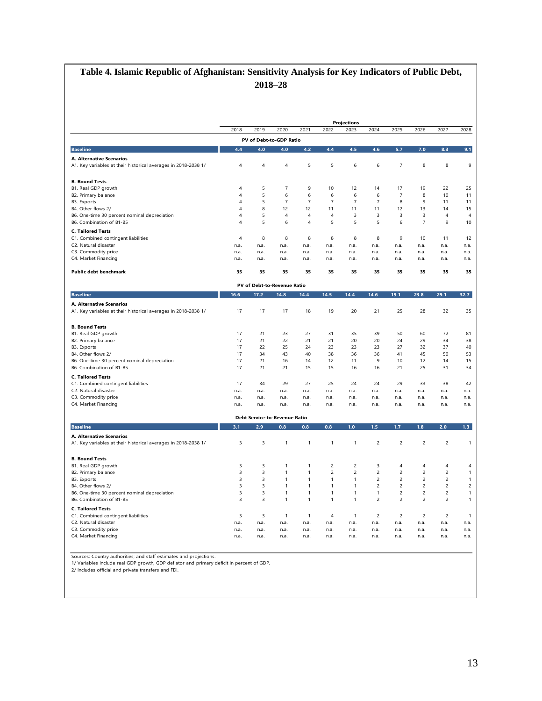# **Table 4. Islamic Republic of Afghanistan: Sensitivity Analysis for Key Indicators of Public Debt, 2018–28**

|                                                                          |                              |                                      |                              |                     |                              | <b>Projections</b>                 |                     |                                  |                                  |                                  |                   |
|--------------------------------------------------------------------------|------------------------------|--------------------------------------|------------------------------|---------------------|------------------------------|------------------------------------|---------------------|----------------------------------|----------------------------------|----------------------------------|-------------------|
|                                                                          | 2018                         | 2019                                 | 2020                         | 2021                | 2022                         | 2023                               | 2024                | 2025                             | 2026                             | 2027                             | 2028              |
|                                                                          |                              | PV of Debt-to-GDP Ratio              |                              |                     |                              |                                    |                     |                                  |                                  |                                  |                   |
| <b>Baseline</b>                                                          | 4.4                          | 4.0                                  | 4.0                          | 4.2                 | 4.4                          | 4.5                                | 4.6                 | 5.7                              | 7.0                              | 8.3                              | 9.1               |
| A. Alternative Scenarios                                                 |                              |                                      |                              |                     |                              |                                    |                     |                                  |                                  |                                  |                   |
| A1. Key variables at their historical averages in 2018-2038 1/           | $\overline{4}$               | 4                                    | 4                            | 5                   | 5                            | 6                                  | 6                   | $\overline{7}$                   | 8                                | 8                                | 9                 |
| <b>B. Bound Tests</b>                                                    |                              |                                      |                              |                     |                              |                                    |                     |                                  |                                  |                                  |                   |
| B1. Real GDP growth                                                      | $\overline{4}$               | 5                                    | $\overline{7}$               | 9                   | 10                           | 12                                 | 14                  | 17                               | 19                               | 22                               | 25                |
| B2. Primary balance<br>B3. Exports                                       | 4<br>$\overline{4}$          | 5<br>5                               | 6<br>$\overline{7}$          | 6<br>$\overline{7}$ | 6<br>$\overline{7}$          | $\boldsymbol{6}$<br>$\overline{7}$ | 6<br>$\overline{7}$ | $\overline{7}$<br>8              | 8<br>9                           | 10<br>11                         | 11<br>11          |
| B4. Other flows 2/                                                       | $\overline{4}$               | 8                                    | 12                           | 12                  | 11                           | 11                                 | 11                  | 12                               | 13                               | 14                               | 15                |
| B6. One-time 30 percent nominal depreciation                             | $\overline{4}$               | 5                                    | $\overline{4}$               | $\overline{4}$      | $\overline{4}$               | $\overline{3}$                     | 3                   | 3                                | 3                                | $\overline{4}$                   | $\overline{4}$    |
| B6. Combination of B1-B5                                                 | $\sqrt{4}$                   | 5                                    | 6                            | 4                   | 5                            | 5                                  | 5                   | 6                                | $\overline{7}$                   | 9                                | 10                |
| <b>C. Tailored Tests</b>                                                 |                              |                                      |                              |                     |                              |                                    |                     |                                  |                                  |                                  |                   |
| C1. Combined contingent liabilities                                      | $\overline{4}$               | 8                                    | 8                            | 8                   | 8                            | 8                                  | 8                   | 9                                | 10                               | 11                               | 12                |
| C2. Natural disaster                                                     | n.a.                         | n.a.                                 | n.a.                         | n.a.                | n.a.                         | n.a.                               | n.a.                | n.a.                             | n.a.                             | n.a.                             | n.a.              |
| C3. Commodity price                                                      | n.a.                         | n.a.                                 | n.a.                         | n.a.                | n.a.                         | n.a.                               | n.a.                | n.a.                             | n.a.                             | n.a.                             | n.a.              |
| C4. Market Financing                                                     | n.a.                         | n.a.                                 | n.a.                         | n.a.                | n.a.                         | n.a.                               | n.a.                | n.a.                             | n.a.                             | n.a.                             | n.a.              |
| Public debt benchmark                                                    | 35                           | 35                                   | 35                           | 35                  | 35                           | 35                                 | 35                  | 35                               | 35                               | 35                               | 35                |
|                                                                          |                              | PV of Debt-to-Revenue Ratio          |                              |                     |                              |                                    |                     |                                  |                                  |                                  |                   |
| <b>Baseline</b>                                                          | 16.6                         | 17.2                                 | 14.8                         | 14.4                | 14.5                         | 14.4                               | 14.6                | 19.1                             | 23.8                             | 29.1                             | 32.7              |
| A. Alternative Scenarios                                                 |                              |                                      |                              |                     |                              |                                    |                     |                                  |                                  |                                  |                   |
| A1. Key variables at their historical averages in 2018-2038 1/           | 17                           | 17                                   | 17                           | 18                  | 19                           | 20                                 | 21                  | 25                               | 28                               | 32                               | 35                |
| <b>B. Bound Tests</b>                                                    |                              |                                      |                              |                     |                              |                                    |                     |                                  |                                  |                                  |                   |
| B1. Real GDP growth                                                      | 17                           | 21                                   | 23                           | 27                  | 31                           | 35                                 | 39                  | 50                               | 60                               | 72                               | 81                |
| B2. Primary balance                                                      | 17                           | 21                                   | 22                           | 21                  | 21                           | 20                                 | 20                  | 24                               | 29                               | 34                               | 38                |
| B3. Exports                                                              | 17                           | 22                                   | 25                           | 24                  | 23                           | 23                                 | 23                  | 27                               | 32                               | 37                               | 40                |
| B4. Other flows 2/                                                       | 17                           | 34                                   | 43                           | 40                  | 38                           | 36                                 | 36                  | 41                               | 45                               | 50                               | 53                |
| B6. One-time 30 percent nominal depreciation<br>B6. Combination of B1-B5 | 17<br>17                     | 21<br>21                             | 16<br>21                     | 14<br>15            | 12<br>15                     | 11<br>16                           | 9<br>16             | 10<br>21                         | 12<br>25                         | 14<br>31                         | 15<br>34          |
|                                                                          |                              |                                      |                              |                     |                              |                                    |                     |                                  |                                  |                                  |                   |
| <b>C. Tailored Tests</b><br>C1. Combined contingent liabilities          | 17                           | 34                                   | 29                           | 27                  | 25                           | 24                                 | 24                  | 29                               | 33                               | 38                               | 42                |
| C2. Natural disaster                                                     | n.a.                         | n.a.                                 | n.a.                         | n.a.                | n.a.                         | n.a.                               | n.a.                | n.a.                             | n.a.                             | n.a.                             | n.a.              |
| C3. Commodity price                                                      | n.a.                         | n.a.                                 | n.a.                         | n.a.                | n.a.                         | n.a.                               | n.a.                | n.a.                             | n.a.                             | n.a.                             | n.a.              |
| C4. Market Financing                                                     | n.a.                         | n.a.                                 | n.a.                         | n.a.                | n.a.                         | n.a.                               | n.a.                | n.a.                             | n.a.                             | n.a.                             | n.a.              |
|                                                                          |                              | <b>Debt Service-to-Revenue Ratio</b> |                              |                     |                              |                                    |                     |                                  |                                  |                                  |                   |
| <b>Baseline</b>                                                          | 3.1                          | 2.9                                  | 0.8                          | 0.8                 | $0.8\,$                      | 1.0                                | 1.5                 | 1.7                              | 1.8                              | 2.0                              | 1.3 <sub>1</sub>  |
| A. Alternative Scenarios                                                 |                              |                                      |                              |                     |                              |                                    |                     |                                  |                                  |                                  |                   |
| A1. Key variables at their historical averages in 2018-2038 1/           | $\overline{3}$               | 3                                    | $\mathbf{1}$                 | 1                   | $\mathbf{1}$                 | $\mathbf{1}$                       | $\overline{c}$      | $\overline{c}$                   | $\mathbf 2$                      | $\overline{c}$                   | $\mathbf{1}$      |
| <b>B. Bound Tests</b>                                                    |                              |                                      |                              |                     |                              |                                    |                     |                                  |                                  |                                  |                   |
| B1. Real GDP growth                                                      | 3                            | 3                                    | 1                            | 1                   | $\overline{c}$               | $\overline{c}$                     | 3                   | 4                                | 4                                | 4                                | 4                 |
| B2. Primary balance                                                      | $\overline{\mathbf{3}}$      | $\overline{3}$                       | $\mathbf{1}$                 | $\mathbf{1}$        | $\overline{2}$               | $\overline{c}$                     | $\overline{c}$      | $\overline{c}$                   | $\overline{2}$                   | $\overline{c}$                   | $\mathbf{1}$      |
| B3. Exports                                                              | $\overline{\mathbf{3}}$      | 3                                    | $\mathbf{1}$                 | $\mathbf{1}$        | $\mathbf{1}$                 | $\mathbf{1}$                       | $\mathbf 2$         | $\mathbf 2$                      | $\mathbf 2$                      | $\overline{c}$                   | 1                 |
| B4. Other flows 2/                                                       | $\overline{3}$               | 3                                    | $\mathbf{1}$                 | $\mathbf{1}$        | $\mathbf{1}$                 | $\mathbf{1}$                       | $\overline{c}$      | $\overline{c}$                   | $\overline{c}$                   | $\overline{c}$                   | $\overline{c}$    |
| B6. One-time 30 percent nominal depreciation<br>B6. Combination of B1-B5 | 3<br>$\overline{\mathbf{3}}$ | 3<br>3                               | $\mathbf{1}$<br>$\mathbf{1}$ | 1<br>$\mathbf{1}$   | $\mathbf{1}$<br>$\mathbf{1}$ | $\overline{1}$<br>$\mathbf{1}$     | 1<br>$\overline{c}$ | $\overline{c}$<br>$\overline{c}$ | $\overline{c}$<br>$\overline{c}$ | $\overline{c}$<br>$\overline{c}$ | 1<br>$\mathbf{1}$ |
| <b>C. Tailored Tests</b>                                                 |                              |                                      |                              |                     |                              |                                    |                     |                                  |                                  |                                  |                   |
| C1. Combined contingent liabilities                                      | $\overline{\mathbf{3}}$      | 3                                    | $\mathbf{1}$                 | $\mathbf{1}$        | $\overline{4}$               | $\overline{1}$                     | $\overline{c}$      | $\overline{c}$                   | $\overline{2}$                   | $\overline{2}$                   | $\mathbf{1}$      |
| C2. Natural disaster                                                     | n.a.                         | n.a.                                 | n.a.                         | n.a.                | n.a.                         | n.a.                               | n.a.                | n.a.                             | n.a.                             | n.a.                             | n.a.              |
| C3. Commodity price                                                      | n.a.                         | n.a.                                 | n.a.                         | n.a.                | n.a.                         | n.a.                               | n.a.                | n.a.                             | n.a.                             | n.a.                             | n.a.              |
|                                                                          |                              |                                      |                              |                     |                              |                                    |                     |                                  |                                  |                                  | n.a.              |

Sources: Country authorities; and staff estimates and projections.<br>1/ Variables include real GDP growth, GDP deflator and primary deficit in percent of GDP.<br>2/ Includes official and private transfers and FDI.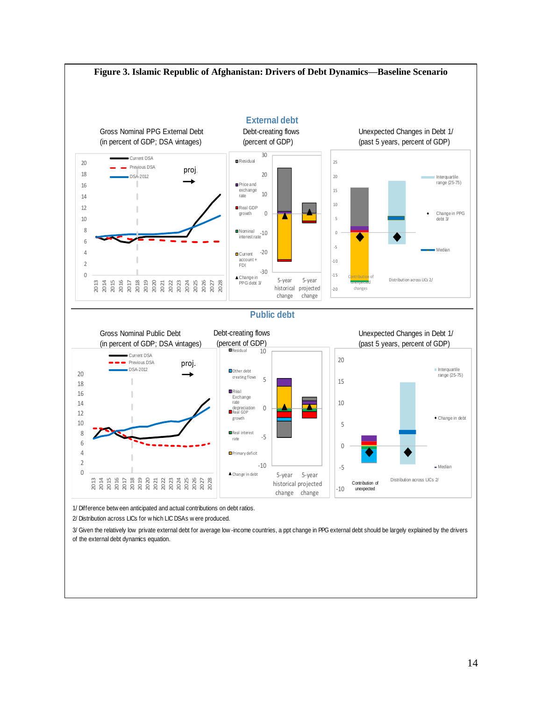